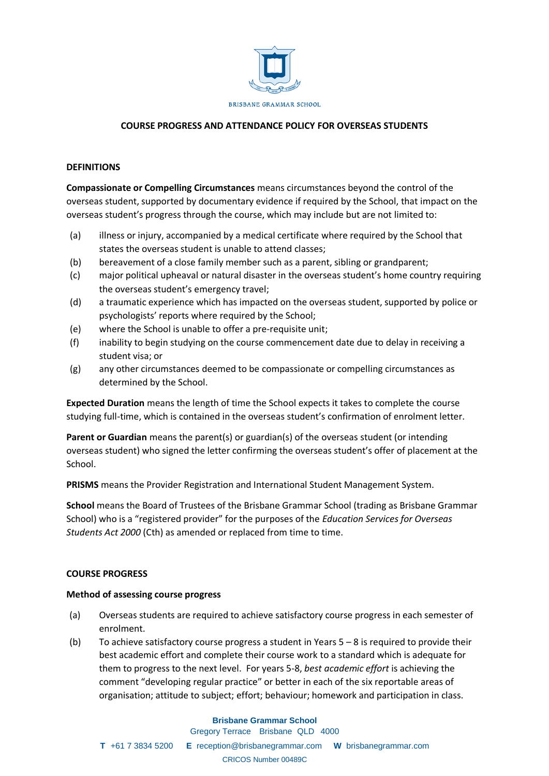

## **COURSE PROGRESS AND ATTENDANCE POLICY FOR OVERSEAS STUDENTS**

### **DEFINITIONS**

**Compassionate or Compelling Circumstances** means circumstances beyond the control of the overseas student, supported by documentary evidence if required by the School, that impact on the overseas student's progress through the course, which may include but are not limited to:

- (a) illness or injury, accompanied by a medical certificate where required by the School that states the overseas student is unable to attend classes;
- (b) bereavement of a close family member such as a parent, sibling or grandparent;
- (c) major political upheaval or natural disaster in the overseas student's home country requiring the overseas student's emergency travel;
- (d) a traumatic experience which has impacted on the overseas student, supported by police or psychologists' reports where required by the School;
- (e) where the School is unable to offer a pre-requisite unit;
- (f) inability to begin studying on the course commencement date due to delay in receiving a student visa; or
- (g) any other circumstances deemed to be compassionate or compelling circumstances as determined by the School.

**Expected Duration** means the length of time the School expects it takes to complete the course studying full-time, which is contained in the overseas student's confirmation of enrolment letter.

**Parent or Guardian** means the parent(s) or guardian(s) of the overseas student (or intending overseas student) who signed the letter confirming the overseas student's offer of placement at the School.

**PRISMS** means the Provider Registration and International Student Management System.

**School** means the Board of Trustees of the Brisbane Grammar School (trading as Brisbane Grammar School) who is a "registered provider" for the purposes of the *Education Services for Overseas Students Act 2000* (Cth) as amended or replaced from time to time.

#### **COURSE PROGRESS**

#### **Method of assessing course progress**

- (a) Overseas students are required to achieve satisfactory course progress in each semester of enrolment.
- (b) To achieve satisfactory course progress a student in Years 5 8 is required to provide their best academic effort and complete their course work to a standard which is adequate for them to progress to the next level. For years 5-8, *best academic effort* is achieving the comment "developing regular practice" or better in each of the six reportable areas of organisation; attitude to subject; effort; behaviour; homework and participation in class.

#### **Brisbane Grammar School** Gregory Terrace Brisbane QLD 4000

**T** +61 7 3834 5200 **E** reception@brisbanegrammar.com **W** brisbanegrammar.com CRICOS Number 00489C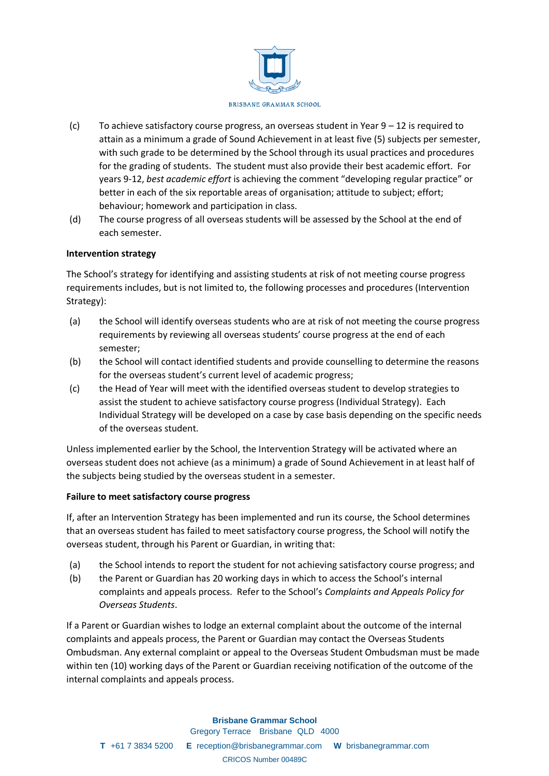

- (c) To achieve satisfactory course progress, an overseas student in Year  $9 12$  is required to attain as a minimum a grade of Sound Achievement in at least five (5) subjects per semester, with such grade to be determined by the School through its usual practices and procedures for the grading of students. The student must also provide their best academic effort. For years 9-12, *best academic effort* is achieving the comment "developing regular practice" or better in each of the six reportable areas of organisation; attitude to subject; effort; behaviour; homework and participation in class.
- (d) The course progress of all overseas students will be assessed by the School at the end of each semester.

### **Intervention strategy**

The School's strategy for identifying and assisting students at risk of not meeting course progress requirements includes, but is not limited to, the following processes and procedures (Intervention Strategy):

- (a) the School will identify overseas students who are at risk of not meeting the course progress requirements by reviewing all overseas students' course progress at the end of each semester;
- (b) the School will contact identified students and provide counselling to determine the reasons for the overseas student's current level of academic progress;
- (c) the Head of Year will meet with the identified overseas student to develop strategies to assist the student to achieve satisfactory course progress (Individual Strategy). Each Individual Strategy will be developed on a case by case basis depending on the specific needs of the overseas student.

Unless implemented earlier by the School, the Intervention Strategy will be activated where an overseas student does not achieve (as a minimum) a grade of Sound Achievement in at least half of the subjects being studied by the overseas student in a semester.

### **Failure to meet satisfactory course progress**

If, after an Intervention Strategy has been implemented and run its course, the School determines that an overseas student has failed to meet satisfactory course progress, the School will notify the overseas student, through his Parent or Guardian, in writing that:

- (a) the School intends to report the student for not achieving satisfactory course progress; and
- (b) the Parent or Guardian has 20 working days in which to access the School's internal complaints and appeals process. Refer to the School's *Complaints and Appeals Policy for Overseas Students*.

If a Parent or Guardian wishes to lodge an external complaint about the outcome of the internal complaints and appeals process, the Parent or Guardian may contact the Overseas Students Ombudsman. Any external complaint or appeal to the Overseas Student Ombudsman must be made within ten (10) working days of the Parent or Guardian receiving notification of the outcome of the internal complaints and appeals process.

### **Brisbane Grammar School**

Gregory Terrace Brisbane QLD 4000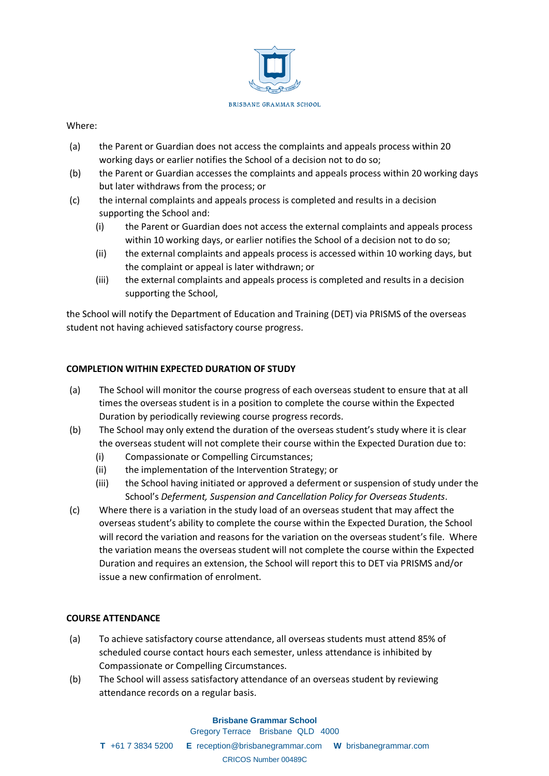

### Where:

- (a) the Parent or Guardian does not access the complaints and appeals process within 20 working days or earlier notifies the School of a decision not to do so;
- (b) the Parent or Guardian accesses the complaints and appeals process within 20 working days but later withdraws from the process; or
- (c) the internal complaints and appeals process is completed and results in a decision supporting the School and:
	- (i) the Parent or Guardian does not access the external complaints and appeals process within 10 working days, or earlier notifies the School of a decision not to do so;
	- (ii) the external complaints and appeals process is accessed within 10 working days, but the complaint or appeal is later withdrawn; or
	- (iii) the external complaints and appeals process is completed and results in a decision supporting the School,

the School will notify the Department of Education and Training (DET) via PRISMS of the overseas student not having achieved satisfactory course progress.

## **COMPLETION WITHIN EXPECTED DURATION OF STUDY**

- (a) The School will monitor the course progress of each overseas student to ensure that at all times the overseas student is in a position to complete the course within the Expected Duration by periodically reviewing course progress records.
- (b) The School may only extend the duration of the overseas student's study where it is clear the overseas student will not complete their course within the Expected Duration due to:
	- (i) Compassionate or Compelling Circumstances;
	- (ii) the implementation of the Intervention Strategy; or
	- (iii) the School having initiated or approved a deferment or suspension of study under the School's *Deferment, Suspension and Cancellation Policy for Overseas Students*.
- (c) Where there is a variation in the study load of an overseas student that may affect the overseas student's ability to complete the course within the Expected Duration, the School will record the variation and reasons for the variation on the overseas student's file. Where the variation means the overseas student will not complete the course within the Expected Duration and requires an extension, the School will report this to DET via PRISMS and/or issue a new confirmation of enrolment.

## **COURSE ATTENDANCE**

- (a) To achieve satisfactory course attendance, all overseas students must attend 85% of scheduled course contact hours each semester, unless attendance is inhibited by Compassionate or Compelling Circumstances.
- (b) The School will assess satisfactory attendance of an overseas student by reviewing attendance records on a regular basis.

### **Brisbane Grammar School**

Gregory Terrace Brisbane QLD 4000

**T** +61 7 3834 5200 **E** reception@brisbanegrammar.com **W** brisbanegrammar.com CRICOS Number 00489C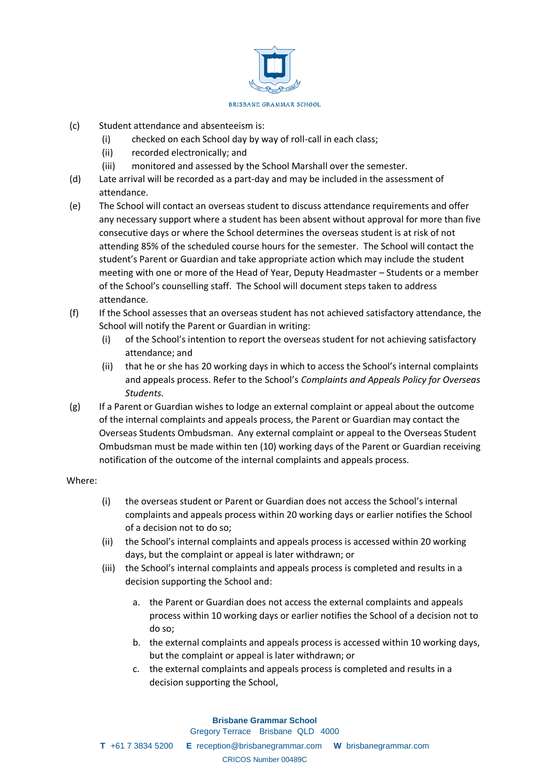

- (c) Student attendance and absenteeism is:
	- (i) checked on each School day by way of roll-call in each class;
	- (ii) recorded electronically; and
	- (iii) monitored and assessed by the School Marshall over the semester.
- (d) Late arrival will be recorded as a part-day and may be included in the assessment of attendance.
- (e) The School will contact an overseas student to discuss attendance requirements and offer any necessary support where a student has been absent without approval for more than five consecutive days or where the School determines the overseas student is at risk of not attending 85% of the scheduled course hours for the semester. The School will contact the student's Parent or Guardian and take appropriate action which may include the student meeting with one or more of the Head of Year, Deputy Headmaster – Students or a member of the School's counselling staff. The School will document steps taken to address attendance.
- (f) If the School assesses that an overseas student has not achieved satisfactory attendance, the School will notify the Parent or Guardian in writing:
	- (i) of the School's intention to report the overseas student for not achieving satisfactory attendance; and
	- (ii) that he or she has 20 working days in which to access the School's internal complaints and appeals process. Refer to the School's *Complaints and Appeals Policy for Overseas Students*.
- (g) If a Parent or Guardian wishes to lodge an external complaint or appeal about the outcome of the internal complaints and appeals process, the Parent or Guardian may contact the Overseas Students Ombudsman. Any external complaint or appeal to the Overseas Student Ombudsman must be made within ten (10) working days of the Parent or Guardian receiving notification of the outcome of the internal complaints and appeals process.

### Where:

- (i) the overseas student or Parent or Guardian does not access the School's internal complaints and appeals process within 20 working days or earlier notifies the School of a decision not to do so;
- (ii) the School's internal complaints and appeals process is accessed within 20 working days, but the complaint or appeal is later withdrawn; or
- (iii) the School's internal complaints and appeals process is completed and results in a decision supporting the School and:
	- a. the Parent or Guardian does not access the external complaints and appeals process within 10 working days or earlier notifies the School of a decision not to do so;
	- b. the external complaints and appeals process is accessed within 10 working days, but the complaint or appeal is later withdrawn; or
	- c. the external complaints and appeals process is completed and results in a decision supporting the School,

# **Brisbane Grammar School**

Gregory Terrace Brisbane QLD 4000

**T** +61 7 3834 5200 **E** reception@brisbanegrammar.com **W** brisbanegrammar.com